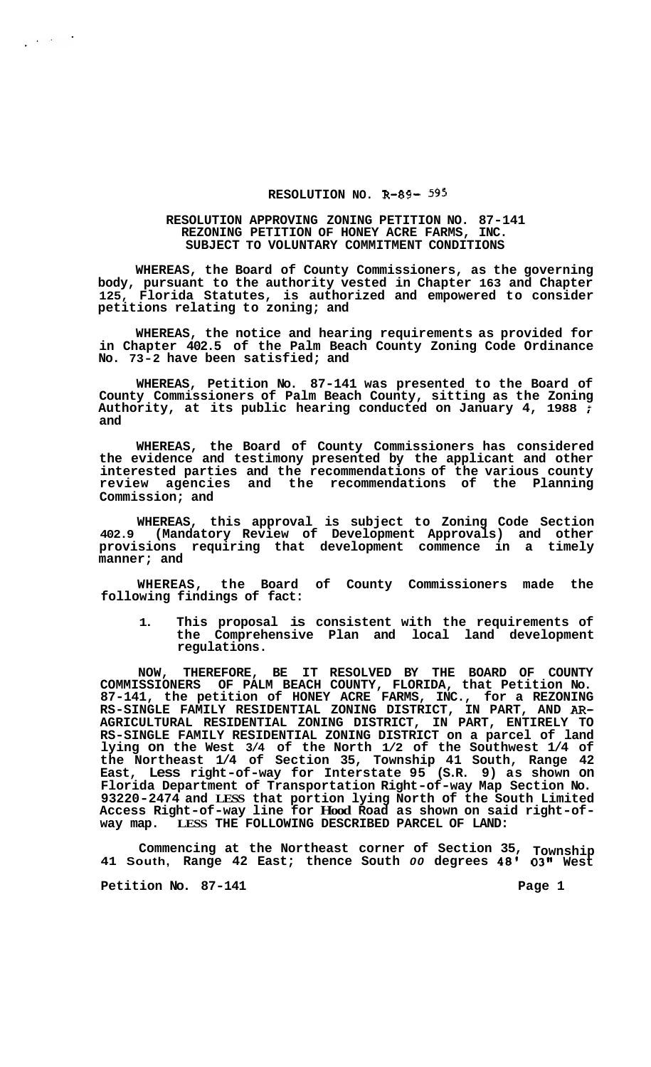## **RESOLUTION NO. R-89- 595**

## **RESOLUTION APPROVING ZONING PETITION NO. 87-141 REZONING PETITION OF HONEY ACRE FARMS, INC. SUBJECT TO VOLUNTARY COMMITMENT CONDITIONS**

**WHEREAS, the Board of County Commissioners, as the governing body, pursuant to the authority vested in Chapter 163 and Chapter 125, Florida Statutes, is authorized and empowered to consider petitions relating to zoning; and** 

**WHEREAS, the notice and hearing requirements as provided for in Chapter 402.5 of the Palm Beach County Zoning Code Ordinance No. 73-2 have been satisfied; and** 

**WHEREAS, Petition No. 87-141 was presented to the Board of County Commissioners of Palm Beach County, sitting as the Zoning Authority, at its public hearing conducted on January 4, 1988** ; **and** 

**WHEREAS, the Board of County Commissioners has considered the evidence and testimony presented by the applicant and other interested parties and the recommendations of the various county review agencies and the recommendations of the Planning Commission; and** 

**WHEREAS, this approval is subject to Zoning Code Section 402.9 (Mandatory Review of Development Approvals) and other provisions requiring that development commence in a timely manner; and** 

**WHEREAS, the Board of County Commissioners made the following findings of fact:** 

**1. This proposal is consistent with the requirements of the Comprehensive Plan and local land development regulations.** 

**NOW, THEREFORE, BE IT RESOLVED BY THE BOARD OF COUNTY COMMISSIONERS OF PALM BEACH COUNTY, FLORIDA, that Petition No. 87-141, the petition of HONEY ACRE FARMS, INC., for a REZONING RS-SINGLE FAMILY RESIDENTIAL ZONING DISTRICT, IN PART, AND** *AR-***AGRICULTURAL RESIDENTIAL ZONING DISTRICT, IN PART, ENTIRELY TO RS-SINGLE FAMILY RESIDENTIAL ZONING DISTRICT on a parcel of land lying on the West 3/4 of the North 1/2 of the Southwest 1/4 of the Northeast 1/4 of Section 35, Township 41 South, Range 42 East, Less right-of-way for Interstate 95 (S.R. 9) as shown on Florida Department of Transportation Right-of-way Map Section No. 93220-2474 and LESS that portion lying North of the South Limited Access Right-of-way line for Hood Road as shown on said right-of- way map. LESS THE FOLLOWING DESCRIBED PARCEL OF LAND:** 

**Commencing at the Northeast corner of Section 35, Township 41 South, Range 42 East; thence South** *00* **degrees 48' 03" West** 

**Petition No.** 87-141 **Page 1 Page 1** 

 $\label{eq:2} \frac{1}{2} \left( \frac{1}{2} \left( \frac{1}{2} \right) \right) \left( \frac{1}{2} \right) \left( \frac{1}{2} \right)$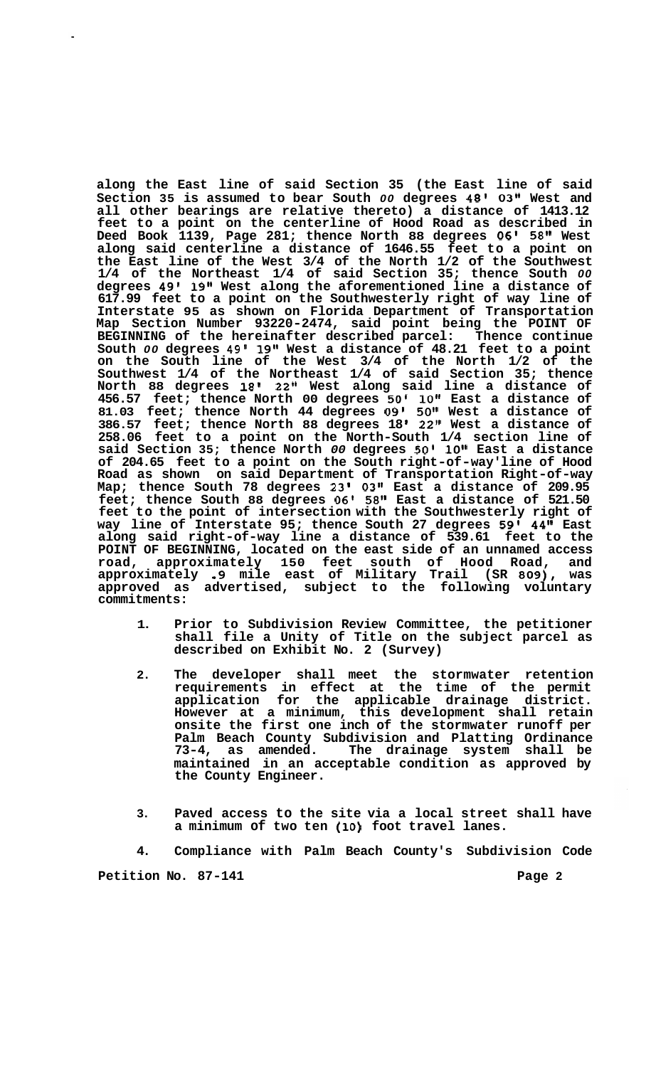**along the East line of said Section 35 (the East line of said Section 35 is assumed to bear South** *00* **degrees 48' 03" West and all other bearings are relative thereto) a distance of 1413.12 feet to a point on the centerline of Hood Road as described in Deed Book 1139, Page 281; thence North 88 degrees** *06'* **58'' West along said centerline a distance of 1646.55 feet to a point on the East line of the West 3/4 of the North 1/2 of the Southwest 1/4 of the Northeast 1/4 of said Section 35; thence South** *00*  **degrees 49' 19" West along the aforementioned line a distance of 617.99 feet to a point on the Southwesterly right of way line of Interstate 95 as shown on Florida Department of Transportation Map Section Number 93220-2474, said point being the POINT OF BEGINNING of the hereinafter described parcel: Thence continue South** *00* **degrees 49' 19'' West a distance of 48.21 feet to a point on the South line of the West 3/4 of the North 1/2 of the Southwest 1/4 of the Northeast 1/4 of said Section 35; thence North 88 degrees 18' 22" West along said line a distance of 456.57 feet; thence North 00 degrees** *50'* **10" East a distance of 81.03 feet; thence North 44 degrees 09' 50" West a distance of 386.57 feet; thence North 88 degrees 18 22" West a distance of 258.06 feet to a point on the North-South 1/4 section line of said Section 35; thence North** *00* **degrees 50' loB1 East a distance of 204.65 feet to a point on the South right-of-way' line of Hood Road as shown on said Department of Transportation Right-of-way Map; thence South 78 degrees 23' 03" East a distance of 209.95 feet; thence South 88 degrees 06'** *58"* **East a distance of 521.50 feet to the point of intersection with the Southwesterly right of way line of Interstate 95; thence South 27 degrees 59' 44'' East along said right-of-way line a distance of 539.61 feet to the POINT OF BEGINNING, located on the east side of an unnamed access road, approximately 150 feet south of Hood Road, and approximately .9 mile east of Military Trail (SR 809), was approved as advertised, subject to the following voluntary commitments:** 

- **1. Prior to Subdivision Review Committee, the petitioner shall file a Unity of Title on the subject parcel as described on Exhibit No. 2 (Survey)**
- **2. The developer shall meet the stormwater retention requirements in effect at the time of the permit application for the applicable drainage district. However at a minimum, this development shall retain onsite the first one inch of the stormwater runoff per Palm Beach County Subdivision and Platting Ordinance 73-4, as amended. The drainage system shall be maintained in an acceptable condition as approved by the County Engineer.**
- **3. Paved access to the site via a local street shall have a minimum of two ten (10) foot travel lanes.**

**4. Compliance with Palm Beach County's Subdivision Code** 

**Petition No. 87-141 Page 2 Page 2**